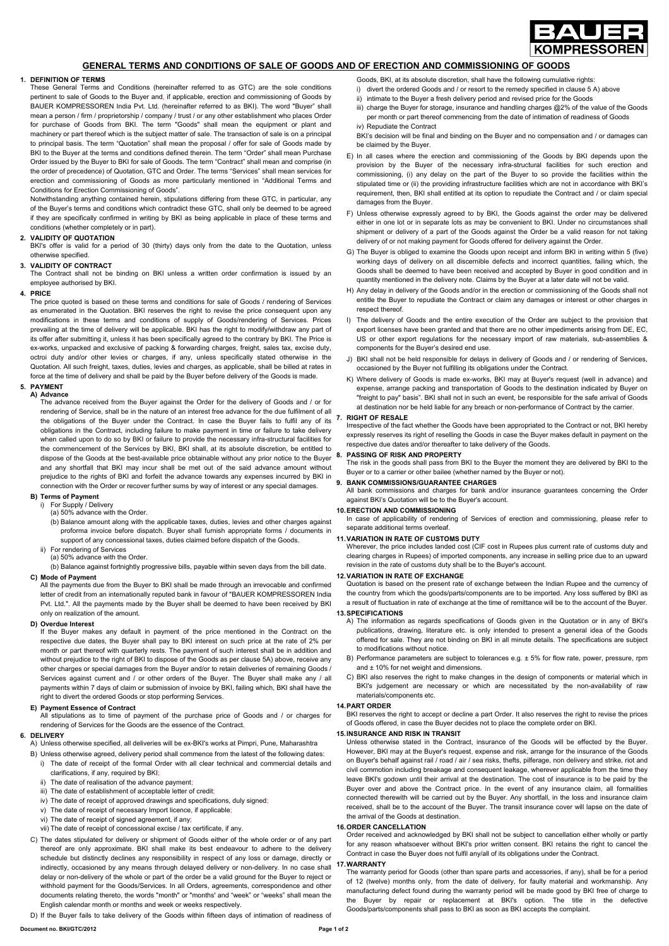

## **GENERAL TERMS AND CONDITIONS OF SALE OF GOODS AND OF ERECTION AND COMMISSIONING OF GOODS**

## **1. DEFINITION OF TERMS**

These General Terms and Conditions (hereinafter referred to as GTC) are the sole conditions pertinent to sale of Goods to the Buyer and, if applicable, erection and commissioning of Goods by BAUER KOMPRESSOREN India Pvt. Ltd. (hereinafter referred to as BKI). The word "Buyer" shall mean a person / firm / proprietorship / company / trust / or any other establishment who places Order for purchase of Goods from BKI. The term "Goods" shall mean the equipment or plant and machinery or part thereof which is the subject matter of sale. The transaction of sale is on a principal to principal basis. The term "Quotation" shall mean the proposal / offer for sale of Goods made by BKI to the Buyer at the terms and conditions defined therein. The term "Order" shall mean Purchase Order issued by the Buyer to BKI for sale of Goods. The term "Contract" shall mean and comprise (in the order of precedence) of Quotation, GTC and Order. The terms "Services" shall mean services for erection and commissioning of Goods as more particularly mentioned in "Additional Terms and Conditions for Erection Commissioning of Goods".

Notwithstanding anything contained herein, stipulations differing from these GTC, in particular, any of the Buyer's terms and conditions which contradict these GTC, shall only be deemed to be agreed if they are specifically confirmed in writing by BKI as being applicable in place of these terms and conditions (whether completely or in part).

## **2. VALIDITY OF QUOTATION**

BKI's offer is valid for a period of 30 (thirty) days only from the date to the Quotation, unless otherwise specified.

## **3. VALIDITY OF CONTRACT**

The Contract shall not be binding on BKI unless a written order confirmation is issued by an employee authorised by BKI.

## **4. PRICE**

The price quoted is based on these terms and conditions for sale of Goods / rendering of Services as enumerated in the Quotation. BKI reserves the right to revise the price consequent upon any modifications in these terms and conditions of supply of Goods/rendering of Services. Prices prevailing at the time of delivery will be applicable. BKI has the right to modify/withdraw any part of its offer after submitting it, unless it has been specifically agreed to the contrary by BKI. The Price is ex-works, unpacked and exclusive of packing & forwarding charges, freight, sales tax, excise duty, octroi duty and/or other levies or charges, if any, unless specifically stated otherwise in the Quotation. All such freight, taxes, duties, levies and charges, as applicable, shall be billed at rates in force at the time of delivery and shall be paid by the Buyer before delivery of the Goods is made.

#### **5. PAYMENT A) Advance**

The advance received from the Buyer against the Order for the delivery of Goods and / or for rendering of Service, shall be in the nature of an interest free advance for the due fulfilment of all the obligations of the Buyer under the Contract. In case the Buyer fails to fulfil any of its obligations in the Contract, including failure to make payment in time or failure to take delivery when called upon to do so by BKI or failure to provide the necessary infra-structural facilities for the commencement of the Services by BKI, BKI shall, at its absolute discretion, be entitled to dispose of the Goods at the best-available price obtainable without any prior notice to the Buyer and any shortfall that BKI may incur shall be met out of the said advance amount without prejudice to the rights of BKI and forfeit the advance towards any expenses incurred by BKI in connection with the Order or recover further sums by way of interest or any special damages.

## **B) Terms of Payment**  i) For Supply / Delivery

- (a) 50% advance with the Order.
- (b) Balance amount along with the applicable taxes, duties, levies and other charges against proforma invoice before dispatch. Buyer shall furnish appropriate forms / documents in support of any concessional taxes, duties claimed before dispatch of the Goods.
- ii) For rendering of Services (a) 50% advance with the Order.
	- (b) Balance against fortnightly progressive bills, payable within seven days from the bill date.

## **C) Mode of Payment**

All the payments due from the Buyer to BKI shall be made through an irrevocable and confirmed letter of credit from an internationally reputed bank in favour of "BAUER KOMPRESSOREN India Pvt. Ltd.". All the payments made by the Buyer shall be deemed to have been received by BKI only on realization of the amount.

## **D) Overdue Interest**

If the Buyer makes any default in payment of the price mentioned in the Contract on the respective due dates, the Buyer shall pay to BKI interest on such price at the rate of 2% per month or part thereof with quarterly rests. The payment of such interest shall be in addition and without prejudice to the right of BKI to dispose of the Goods as per clause 5A) above, receive any other charges or special damages from the Buyer and/or to retain deliveries of remaining Goods / Services against current and / or other orders of the Buyer. The Buyer shall make any / all payments within 7 days of claim or submission of invoice by BKI, failing which, BKI shall have the right to divert the ordered Goods or stop performing Services.

#### **E) Payment Essence of Contract**

All stipulations as to time of payment of the purchase price of Goods and / or charges for rendering of Services for the Goods are the essence of the Contract.

## **6. DELIVERY**

- A) Unless otherwise specified, all deliveries will be ex-BKI's works at Pimpri, Pune, Maharashtra
- B) Unless otherwise agreed, delivery period shall commence from the latest of the following dates:
- i) The date of receipt of the formal Order with all clear technical and commercial details and clarifications, if any, required by BKI;
- ii) The date of realisation of the advance payment
- iii) The date of establishment of acceptable letter of credit;
- iv) The date of receipt of approved drawings and specifications, duly signed;
- v) The date of receipt of necessary Import licence, if applicable;
- vi) The date of receipt of signed agreement, if any;
- vii) The date of receipt of concessional excise / tax certificate, if any.
- C) The dates stipulated for delivery or shipment of Goods either of the whole order or of any part thereof are only approximate. BKI shall make its best endeavour to adhere to the delivery schedule but distinctly declines any responsibility in respect of any loss or damage, directly or indirectly, occasioned by any means through delayed delivery or non-delivery. In no case shall delay or non-delivery of the whole or part of the order be a valid ground for the Buyer to reject or withhold payment for the Goods/Services. In all Orders, agreements, correspondence and other documents relating thereto, the words "month" or "months' and "week" or "weeks" shall mean the English calendar month or months and week or weeks respectively.

D) If the Buyer fails to take delivery of the Goods within fifteen days of intimation of readiness of

- i) divert the ordered Goods and / or resort to the remedy specified in clause 5 A) above ii) intimate to the Buyer a fresh delivery period and revised price for the Goods
- iii) charge the Buyer for storage, insurance and handling charges @2% of the value of the Goods per month or part thereof commencing from the date of intimation of readiness of Goods iv) Repudiate the Contract
- BKI's decision will be final and binding on the Buyer and no compensation and / or damages can be claimed by the Buyer.
- E) In all cases where the erection and commissioning of the Goods by BKI depends upon the provision by the Buyer of the necessary infra-structural facilities for such erection and commissioning, (i) any delay on the part of the Buyer to so provide the facilities within the stipulated time or (ii) the providing infrastructure facilities which are not in accordance with BKI's requirement, then, BKI shall entitled at its option to repudiate the Contract and / or claim special damages from the Buyer.
- F) Unless otherwise expressly agreed to by BKI, the Goods against the order may be delivered either in one lot or in separate lots as may be convenient to BKI. Under no circumstances shall shipment or delivery of a part of the Goods against the Order be a valid reason for not taking delivery of or not making payment for Goods offered for delivery against the Order.
- G) The Buyer is obliged to examine the Goods upon receipt and inform BKI in writing within 5 (five) working days of delivery on all discernible defects and incorrect quantities, failing which, the Goods shall be deemed to have been received and accepted by Buyer in good condition and in quantity mentioned in the delivery note. Claims by the Buyer at a later date will not be valid.
- H) Any delay in delivery of the Goods and/or in the erection or commissioning of the Goods shall not entitle the Buyer to repudiate the Contract or claim any damages or interest or other charges in respect thereof.
- I) The delivery of Goods and the entire execution of the Order are subject to the provision that export licenses have been granted and that there are no other impediments arising from DE, EC, US or other export regulations for the necessary import of raw materials, sub-assemblies & components for the Buyer's desired end use.
- J) BKI shall not be held responsible for delays in delivery of Goods and / or rendering of Services, occasioned by the Buyer not fulfilling its obligations under the Contract.
- K) Where delivery of Goods is made ex-works, BKI may at Buyer's request (well in advance) and expense, arrange packing and transportation of Goods to the destination indicated by Buyer on "freight to pay" basis". BKI shall not in such an event, be responsible for the safe arrival of Goods at destination nor be held liable for any breach or non-performance of Contract by the carrier.

#### **7. RIGHT OF RESALE**

Irrespective of the fact whether the Goods have been appropriated to the Contract or not, BKI hereby expressly reserves its right of reselling the Goods in case the Buyer makes default in payment on the respective due dates and/or thereafter to take delivery of the Goods.

## **8. PASSING OF RISK AND PROPERTY**

The risk in the goods shall pass from BKI to the Buyer the moment they are delivered by BKI to the Buyer or to a carrier or other bailee (whether named by the Buyer or not).

**9. BANK COMMISSIONS/GUARANTEE CHARGES** 

All bank commissions and charges for bank and/or insurance guarantees concerning the Order against BKI's Quotation will be to the Buyer's account.

# **10. ERECTION AND COMMISSIONING**

In case of applicability of rendering of Services of erection and commissioning, please refer to separate additional terms overleaf.

## **11. VARIATION IN RATE OF CUSTOMS DUTY**

Wherever, the price includes landed cost (CIF cost in Rupees plus current rate of customs duty and clearing charges in Rupees) of imported components, any increase in selling price due to an upward revision in the rate of customs duty shall be to the Buyer's account.

#### **12. VARIATION IN RATE OF EXCHANGE**

Quotation is based on the present rate of exchange between the Indian Rupee and the currency of the country from which the goods/parts/components are to be imported. Any loss suffered by BKI as a result of fluctuation in rate of exchange at the time of remittance will be to the account of the Buyer.

## **13. SPECIFICATIONS**

- A) The information as regards specifications of Goods given in the Quotation or in any of BKI's publications, drawing, literature etc. is only intended to present a general idea of the Goods offered for sale. They are not binding on BKI in all minute details. The specifications are subject to modifications without notice.
- B) Performance parameters are subject to tolerances e.g. ± 5% for flow rate, power, pressure, rpm and ± 10% for net weight and dimensions.
- C) BKI also reserves the right to make changes in the design of components or material which in BKI's judgement are necessary or which are necessitated by the non-availability of raw materials/components etc.

## **14. PART ORDER**

BKI reserves the right to accept or decline a part Order. It also reserves the right to revise the prices of Goods offered, in case the Buyer decides not to place the complete order on BKI.

#### **15. INSURANCE AND RISK IN TRANSIT**

Unless otherwise stated in the Contract, insurance of the Goods will be effected by the Buyer. However, BKI may at the Buyer's request, expense and risk, arrange for the insurance of the Goods on Buyer's behalf against rail / road / air / sea risks, thefts, pilferage, non delivery and strike, riot and civil commotion including breakage and consequent leakage, wherever applicable from the time they leave BKI's godown until their arrival at the destination. The cost of insurance is to be paid by the Buyer over and above the Contract price. In the event of any insurance claim, all formalities connected therewith will be carried out by the Buyer. Any shortfall, in the loss and insurance claim received, shall be to the account of the Buyer. The transit insurance cover will lapse on the date of the arrival of the Goods at destination.

## **16. ORDER CANCELLATION**

Order received and acknowledged by BKI shall not be subject to cancellation either wholly or partly for any reason whatsoever without BKI's prior written consent. BKI retains the right to cancel the Contract in case the Buyer does not fulfil any/all of its obligations under the Contract.

#### **17. WARRANTY**

The warranty period for Goods (other than spare parts and accessories, if any), shall be for a period of 12 (twelve) months only, from the date of delivery, for faulty material and workmanship. Any manufacturing defect found during the warranty period will be made good by BKI free of charge to the Buyer by repair or replacement at BKI's option. The title in the defective Goods/parts/components shall pass to BKI as soon as BKI accepts the complaint.